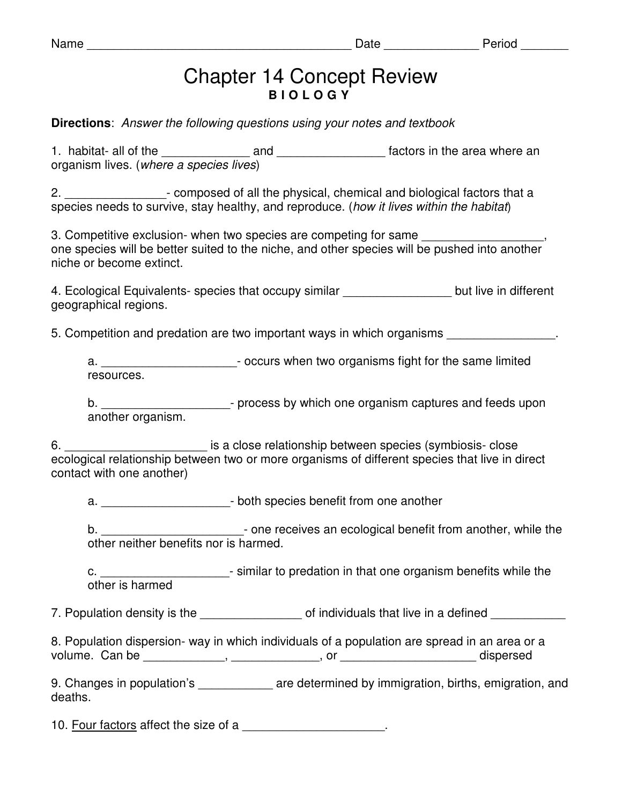| am<br>u |  |
|---------|--|
|---------|--|

## Chapter 14 Concept Review **B I O L O G Y**

**Directions**: Answer the following questions using your notes and textbook

1. habitat- all of the \_\_\_\_\_\_\_\_\_\_\_\_\_ and \_\_\_\_\_\_\_\_\_\_\_\_\_\_\_\_ factors in the area where an organism lives. (where a species lives)

2. **Example 2.**  $\blacksquare$  composed of all the physical, chemical and biological factors that a species needs to survive, stay healthy, and reproduce. (how it lives within the habitat)

3. Competitive exclusion- when two species are competing for same one species will be better suited to the niche, and other species will be pushed into another niche or become extinct.

4. Ecological Equivalents- species that occupy similar **Example 1** but live in different geographical regions.

5. Competition and predation are two important ways in which organisms

a. \_\_\_\_\_\_\_\_\_\_\_\_\_\_\_\_\_\_\_\_\_\_\_\_\_\_\_- occurs when two organisms fight for the same limited resources.

b. \_\_\_\_\_\_\_\_\_\_\_\_\_\_\_\_\_\_\_\_\_\_\_\_\_- process by which one organism captures and feeds upon another organism.

6. \_\_\_\_\_\_\_\_\_\_\_\_\_\_\_\_\_\_\_\_\_ is a close relationship between species (symbiosis- close ecological relationship between two or more organisms of different species that live in direct contact with one another)

a. \_\_\_\_\_\_\_\_\_\_\_\_\_\_\_\_\_\_\_- both species benefit from one another

b.  $\blacksquare$   $\blacksquare$  one receives an ecological benefit from another, while the other neither benefits nor is harmed.

c. \_\_\_\_\_\_\_\_\_\_\_\_\_\_\_\_\_\_\_\_\_\_\_\_\_- similar to predation in that one organism benefits while the other is harmed

7. Population density is the \_\_\_\_\_\_\_\_\_\_\_\_\_\_\_\_\_\_\_\_ of individuals that live in a defined

8. Population dispersion- way in which individuals of a population are spread in an area or a volume. Can be \_\_\_\_\_\_\_\_\_\_\_\_, \_\_\_\_\_\_\_\_\_\_\_\_\_, or \_\_\_\_\_\_\_\_\_\_\_\_\_\_\_\_\_\_\_\_ dispersed

9. Changes in population's external are determined by immigration, births, emigration, and deaths.

10. Four factors affect the size of a **Exercise 2** contains the size of a set of a set of a set of a set of a set of a set of a set of a set of a set of a set of a set of a set of a set of a set of a set of a set of a set